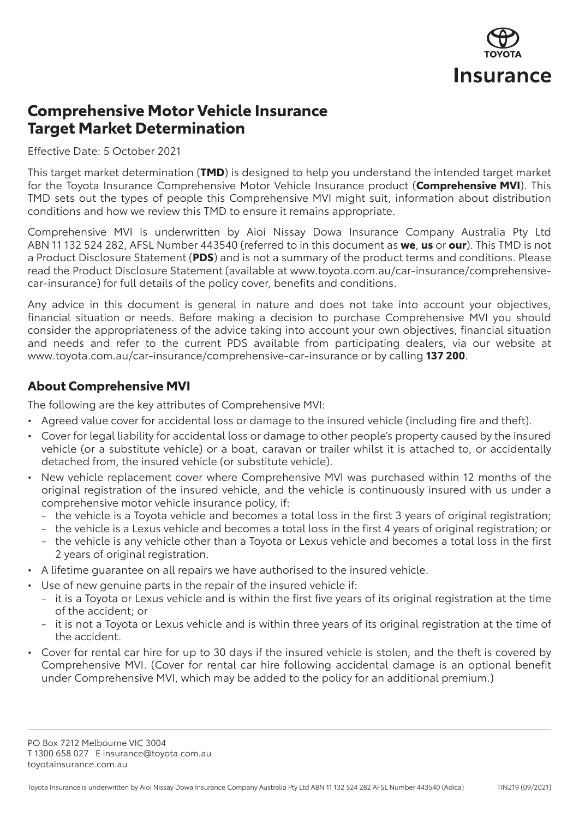

# **Comprehensive Motor Vehicle Insurance Target Market Determination**

Effective Date: 5 October 2021

This target market determination (**TMD**) is designed to help you understand the intended target market for the Toyota Insurance Comprehensive Motor Vehicle Insurance product (**Comprehensive MVI**). This TMD sets out the types of people this Comprehensive MVI might suit, information about distribution conditions and how we review this TMD to ensure it remains appropriate.

Comprehensive MVI is underwritten by Aioi Nissay Dowa Insurance Company Australia Pty Ltd ABN 11 132 524 282, AFSL Number 443540 (referred to in this document as **we**, **us** or **our**). This TMD is not a Product Disclosure Statement (**PDS**) and is not a summary of the product terms and conditions. Please read the Product Disclosure Statement (available at [www.toyota.com.au/car-insurance/comprehensive](http://www.toyota.com.au/car-insurance/comprehensive-car-insurance)[car-insurance](http://www.toyota.com.au/car-insurance/comprehensive-car-insurance)) for full details of the policy cover, benefits and conditions.

Any advice in this document is general in nature and does not take into account your objectives, financial situation or needs. Before making a decision to purchase Comprehensive MVI you should consider the appropriateness of the advice taking into account your own objectives, financial situation and needs and refer to the current PDS available from participating dealers, via our website at [www.toyota.com.au/car-insurance/comprehensive-car-insurance](http://www.toyota.com.au/car-insurance/comprehensive-car-insurance) or by calling **137 200**.

#### **About Comprehensive MVI**

The following are the key attributes of Comprehensive MVI:

- Agreed value cover for accidental loss or damage to the insured vehicle (including fire and theft).
- Cover for legal liability for accidental loss or damage to other people's property caused by the insured vehicle (or a substitute vehicle) or a boat, caravan or trailer whilst it is attached to, or accidentally detached from, the insured vehicle (or substitute vehicle).
- New vehicle replacement cover where Comprehensive MVI was purchased within 12 months of the original registration of the insured vehicle, and the vehicle is continuously insured with us under a comprehensive motor vehicle insurance policy, if:
	- the vehicle is a Toyota vehicle and becomes a total loss in the first 3 years of original registration;
	- the vehicle is a Lexus vehicle and becomes a total loss in the first 4 years of original registration; or
	- the vehicle is any vehicle other than a Toyota or Lexus vehicle and becomes a total loss in the first 2 years of original registration.
- A lifetime guarantee on all repairs we have authorised to the insured vehicle.
- Use of new genuine parts in the repair of the insured vehicle if:
	- it is a Toyota or Lexus vehicle and is within the first five years of its original registration at the time of the accident; or
	- it is not a Toyota or Lexus vehicle and is within three years of its original registration at the time of the accident.
- Cover for rental car hire for up to 30 days if the insured vehicle is stolen, and the theft is covered by Comprehensive MVI. (Cover for rental car hire following accidental damage is an optional benefit under Comprehensive MVI, which may be added to the policy for an additional premium.)

PO Box 7212 Melbourne VIC 3004 T 1300 658 027 E [insurance@toyota.com.au](mailto:insurance%40toyota.com.au?subject=) [toyotainsurance.com.au](http://www.toyotainsurance.com.au)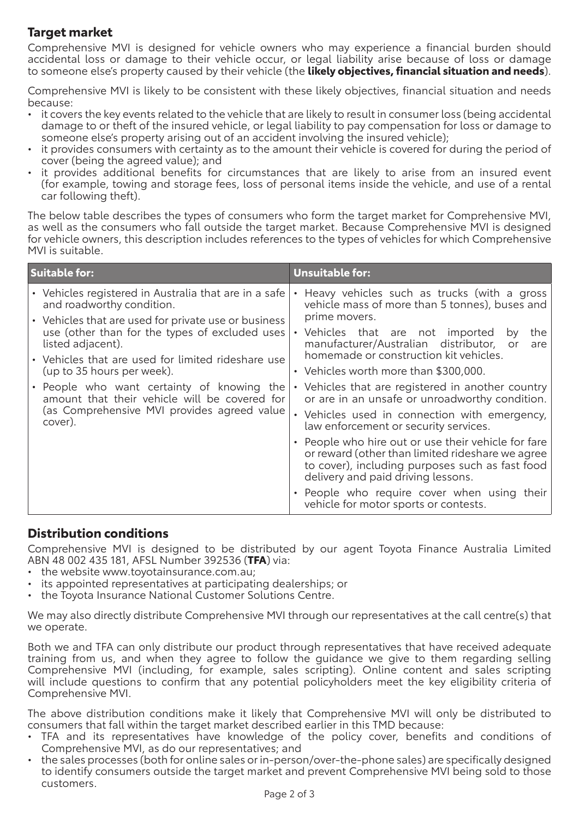### **Target market**

Comprehensive MVI is designed for vehicle owners who may experience a financial burden should accidental loss or damage to their vehicle occur, or legal liability arise because of loss or damage to someone else's property caused by their vehicle (the **likely objectives, financial situation and needs**).

Comprehensive MVI is likely to be consistent with these likely objectives, financial situation and needs because:

- it covers the key events related to the vehicle that are likely to result in consumer loss (being accidental damage to or theft of the insured vehicle, or legal liability to pay compensation for loss or damage to someone else's property arising out of an accident involving the insured vehicle);
- it provides consumers with certainty as to the amount their vehicle is covered for during the period of cover (being the agreed value); and
- it provides additional benefits for circumstances that are likely to arise from an insured event (for example, towing and storage fees, loss of personal items inside the vehicle, and use of a rental car following theft).

The below table describes the types of consumers who form the target market for Comprehensive MVI, as well as the consumers who fall outside the target market. Because Comprehensive MVI is designed for vehicle owners, this description includes references to the types of vehicles for which Comprehensive MVI is suitable.

| <b>Suitable for:</b>                                                                                                                                                                                                                                                                                                                                                                                                                                           | <b>Unsuitable for:</b>                                                                                                                                                                                                                                                                                                                                                                                                                                                                                                                                                                                                                                                                                                                                     |
|----------------------------------------------------------------------------------------------------------------------------------------------------------------------------------------------------------------------------------------------------------------------------------------------------------------------------------------------------------------------------------------------------------------------------------------------------------------|------------------------------------------------------------------------------------------------------------------------------------------------------------------------------------------------------------------------------------------------------------------------------------------------------------------------------------------------------------------------------------------------------------------------------------------------------------------------------------------------------------------------------------------------------------------------------------------------------------------------------------------------------------------------------------------------------------------------------------------------------------|
| • Vehicles registered in Australia that are in a safe<br>and roadworthy condition.<br>• Vehicles that are used for private use or business<br>use (other than for the types of excluded uses<br>listed adjacent).<br>• Vehicles that are used for limited rideshare use<br>(up to 35 hours per week).<br>• People who want certainty of knowing the<br>amount that their vehicle will be covered for<br>(as Comprehensive MVI provides agreed value<br>cover). | • Heavy vehicles such as trucks (with a gross<br>vehicle mass of more than 5 tonnes), buses and<br>prime movers.<br>• Vehicles that are not imported<br>the<br>by<br>manufacturer/Australian distributor, or<br>are<br>homemade or construction kit vehicles.<br>• Vehicles worth more than \$300,000.<br>• Vehicles that are registered in another country<br>or are in an unsafe or unroadworthy condition.<br>• Vehicles used in connection with emergency,<br>law enforcement or security services.<br>• People who hire out or use their vehicle for fare<br>or reward (other than limited rideshare we agree<br>to cover), including purposes such as fast food<br>delivery and paid driving lessons.<br>• People who require cover when using their |
|                                                                                                                                                                                                                                                                                                                                                                                                                                                                | vehicle for motor sports or contests.                                                                                                                                                                                                                                                                                                                                                                                                                                                                                                                                                                                                                                                                                                                      |

#### **Distribution conditions**

Comprehensive MVI is designed to be distributed by our agent Toyota Finance Australia Limited ABN 48 002 435 181, AFSL Number 392536 (**TFA**) via:

- the website [www.toyotainsurance.com.au](http://www.toyotainsurance.com.au);
- its appointed representatives at participating dealerships; or
- the Toyota Insurance National Customer Solutions Centre.

We may also directly distribute Comprehensive MVI through our representatives at the call centre(s) that we operate.

Both we and TFA can only distribute our product through representatives that have received adequate training from us, and when they agree to follow the guidance we give to them regarding selling Comprehensive MVI (including, for example, sales scripting). Online content and sales scripting will include questions to confirm that any potential policyholders meet the key eligibility criteria of Comprehensive MVI.

The above distribution conditions make it likely that Comprehensive MVI will only be distributed to consumers that fall within the target market described earlier in this TMD because:

- TFA and its representatives have knowledge of the policy cover, benefits and conditions of Comprehensive MVI, as do our representatives; and
- the sales processes (both for online sales or in-person/over-the-phone sales) are specifically designed to identify consumers outside the target market and prevent Comprehensive MVI being sold to those customers.